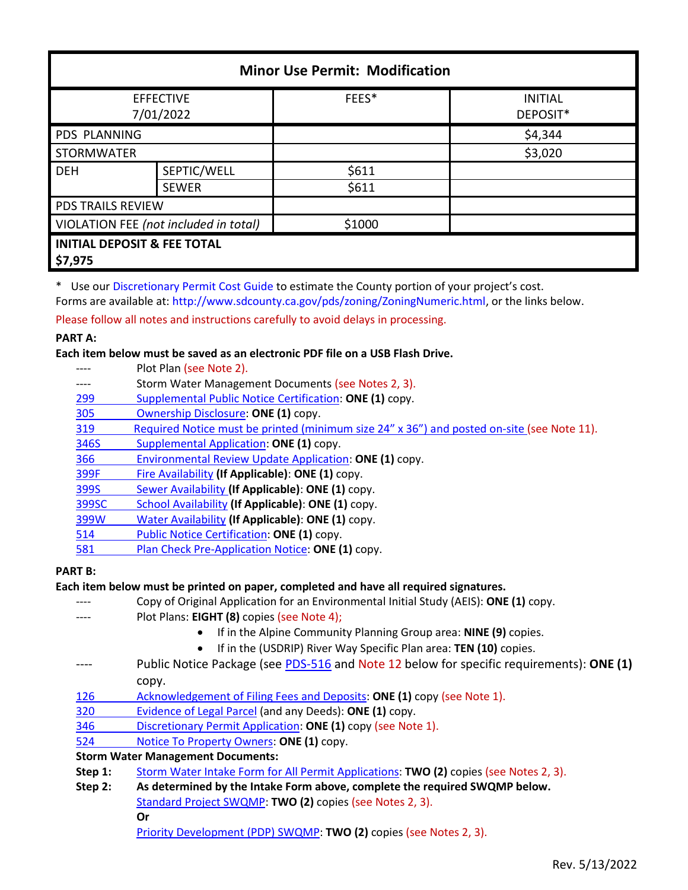| <b>Minor Use Permit: Modification</b>             |              |        |                            |  |
|---------------------------------------------------|--------------|--------|----------------------------|--|
| <b>EFFECTIVE</b><br>7/01/2022                     |              | FEES*  | <b>INITIAL</b><br>DEPOSIT* |  |
| <b>PDS PLANNING</b>                               |              |        | \$4,344                    |  |
| <b>STORMWATER</b>                                 |              |        | \$3,020                    |  |
| <b>DEH</b>                                        | SEPTIC/WELL  | \$611  |                            |  |
|                                                   | <b>SEWER</b> | \$611  |                            |  |
| PDS TRAILS REVIEW                                 |              |        |                            |  |
| VIOLATION FEE (not included in total)             |              | \$1000 |                            |  |
| <b>INITIAL DEPOSIT &amp; FEE TOTAL</b><br>\$7,975 |              |        |                            |  |

\* Use our [Discretionary Permit Cost Guide](http://www.sandiegocounty.gov/content/dam/sdc/pds/docs/Discretionary_Permit_Cost_Guide.xlsx) to estimate the County portion of your project's cost.

Forms are available at: [http://www.sdcounty.ca.gov/pds/zoning/ZoningNumeric.html,](http://www.sdcounty.ca.gov/pds/zoning/ZoningNumeric.html) or the links below.

Please follow all notes and instructions carefully to avoid delays in processing.

## **PART A:**

## **Each item below must be saved as an electronic PDF file on a USB Flash Drive.**

- Plot Plan (see Note 2).
- ---- Storm Water Management Documents (see Notes 2, 3).
- 299 [Supplemental Public Notice](http://www.sdcounty.ca.gov/pds/zoning/formfields/PDS-PLN-299.pdf) Certification: **ONE (1)** copy.
- [305 Ownership Disclosure:](http://www.sdcounty.ca.gov/pds/zoning/formfields/PDS-PLN-305.pdf) **ONE (1)** copy.
- 319 [Required Notice must be printed \(minimum size 24" x 36"\) a](https://www.sandiegocounty.gov/content/dam/sdc/pds/zoning/formfields/PDS-PLN-319.pdf)nd posted on-site (see Note 11).
- [346S Supplemental Application:](http://www.sdcounty.ca.gov/pds/zoning/formfields/PDS-PLN-346S.pdf) **ONE (1)** copy.
- [366 Environmental Review Update Application:](http://www.sdcounty.ca.gov/pds/zoning/formfields/PDS-PLN-366.pdf) **ONE (1)** copy.
- [399F Fire Availability](http://www.sdcounty.ca.gov/pds/zoning/formfields/PDS-PLN-399F.pdf) **(If Applicable)**: **ONE (1)** copy.
- 399S [Sewer Availability](http://www.sdcounty.ca.gov/pds/zoning/formfields/PDS-PLN-399S.pdf) **(If Applicable)**: **ONE (1)** copy.
- [399SC School Availability](http://www.sdcounty.ca.gov/pds/zoning/formfields/PDS-PLN-399SC.pdf) **(If Applicable)**: **ONE (1)** copy.
- [399W Water Availability](http://www.sdcounty.ca.gov/pds/zoning/formfields/PDS-PLN-399W.pdf) **(If Applicable)**: **ONE (1)** copy.
- 514 [Public Notice Certification:](http://www.sdcounty.ca.gov/pds/zoning/formfields/PDS-PLN-514.pdf) **ONE (1)** copy.
- 581 [Plan Check Pre-Application Notice:](http://www.sdcounty.ca.gov/pds/zoning/formfields/PDS-PLN-581.pdf) **ONE (1)** copy.

# **PART B:**

# **Each item below must be printed on paper, completed and have all required signatures.**

- ---- Copy of Original Application for an Environmental Initial Study (AEIS): **ONE (1)** copy.
- Plot Plans: **EIGHT (8)** copies (see Note 4);
	- If in the Alpine Community Planning Group area: **NINE (9)** copies.
	- If in the (USDRIP) River Way Specific Plan area: **TEN (10)** copies.
- ---- Public Notice Package (see [PDS-516](https://www.sandiegocounty.gov/pds/zoning/formfields/PDS-PLN-516.pdf) and Note 12 below for specific requirements): **ONE (1)** copy.
- [126 Acknowledgement of Filing Fees and Deposits:](http://www.sdcounty.ca.gov/pds/zoning/formfields/PDS-PLN-126.pdf) **ONE (1)** copy (see Note 1).
- [320 Evidence of Legal Parcel](http://www.sdcounty.ca.gov/pds/zoning/formfields/PDS-PLN-320.pdf) (and any Deeds): **ONE (1)** copy.
- 346 [Discretionary Permit Application:](http://www.sdcounty.ca.gov/pds/zoning/formfields/PDS-PLN-346.pdf) **ONE (1)** copy (see Note 1).
- 524 [Notice To Property Owners:](http://www.sdcounty.ca.gov/pds/zoning/formfields/PDS-PLN-524.pdf) **ONE (1)** copy.

# **Storm Water Management Documents:**

- **Step 1:** [Storm Water Intake Form for All Permit Applications:](http://www.sandiegocounty.gov/content/dam/sdc/pds/zoning/formfields/SWQMP-Intake-Form.pdf) **TWO (2)** copies (see Notes 2, 3).
- **Step 2: As determined by the Intake Form above, complete the required SWQMP below.**
	- [Standard Project SWQMP:](http://www.sandiegocounty.gov/content/dam/sdc/pds/zoning/formfields/SWQMP-Standard.pdf) **TWO (2)** copies (see Notes 2, 3).

[Priority Development \(PDP\) SWQMP:](https://www.sandiegocounty.gov/content/sdc/dpw/watersheds/DevelopmentandConstruction/BMP_Design_Manual.html) **TWO (2)** copies (see Notes 2, 3).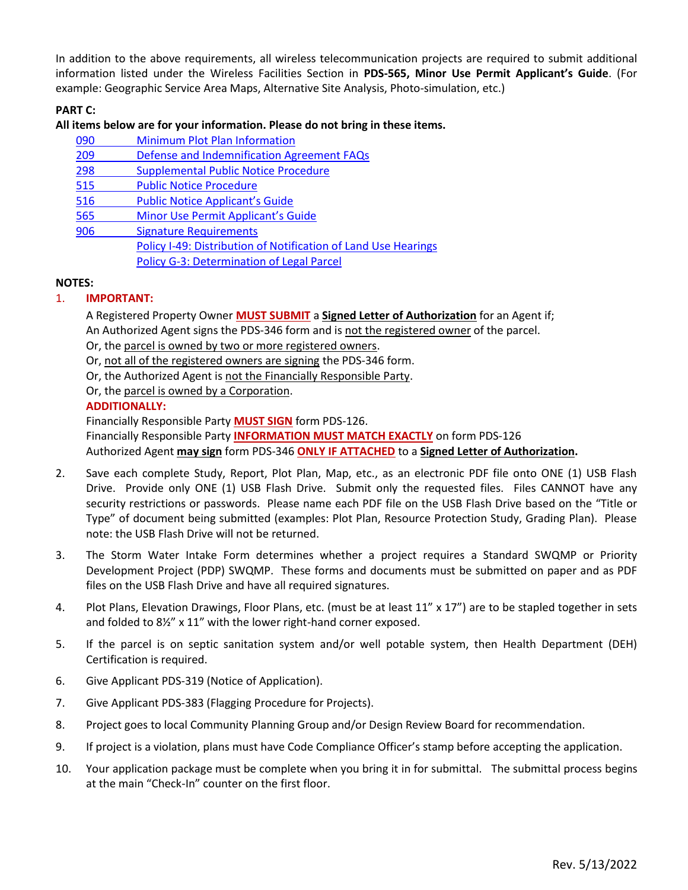In addition to the above requirements, all wireless telecommunication projects are required to submit additional information listed under the Wireless Facilities Section in **PDS-565, Minor Use Permit Applicant's Guide**. (For example: Geographic Service Area Maps, Alternative Site Analysis, Photo-simulation, etc.)

# **PART C:**

#### **All items below are for your information. Please do not bring in these items.**

- 090 [Minimum Plot Plan Information](http://www.sdcounty.ca.gov/pds/docs/pds090.pdf) 209 Defense [and Indemnification](http://www.sdcounty.ca.gov/pds/zoning/formfields/PDS-PLN-209.pdf) Agreement FAQs
- 
- 298 [Supplemental Public Notice Procedure](http://www.sdcounty.ca.gov/pds/zoning/formfields/PDS-PLN-298.pdf)
- [515 Public Notice Procedure](http://www.sdcounty.ca.gov/pds/zoning/formfields/PDS-PLN-515.pdf)
- 516 [Public Notice Applicant's Guide](http://www.sdcounty.ca.gov/pds/zoning/formfields/PDS-PLN-516.pdf)
- 565 [Minor Use Permit Applicant's Guide](http://www.sdcounty.ca.gov/pds/zoning/formfields/PDS-PLN-565.pdf)
- [906 Signature Requirements](http://www.sdcounty.ca.gov/pds/zoning/formfields/PDS-PLN-906.pdf) 
	- [Policy I-49: Distribution of Notification of Land Use Hearings](http://www.sdcounty.ca.gov/cob/docs/policy/I-49.pdf)
		- [Policy G-3: Determination of Legal Parcel](http://www.sdcounty.ca.gov/pds/zoning/formfields/POLICY-G-3.pdf)

## **NOTES:**

# 1. **IMPORTANT:**

A Registered Property Owner **MUST SUBMIT** a **Signed Letter of Authorization** for an Agent if; An Authorized Agent signs the PDS-346 form and is not the registered owner of the parcel.

Or, the parcel is owned by two or more registered owners.

Or, not all of the registered owners are signing the PDS-346 form.

Or, the Authorized Agent is not the Financially Responsible Party.

Or, the parcel is owned by a Corporation.

## **ADDITIONALLY:**

Financially Responsible Party **MUST SIGN** form PDS-126.

Financially Responsible Party **INFORMATION MUST MATCH EXACTLY** on form PDS-126 Authorized Agent **may sign** form PDS-346 **ONLY IF ATTACHED** to a **Signed Letter of Authorization.**

- 2. Save each complete Study, Report, Plot Plan, Map, etc., as an electronic PDF file onto ONE (1) USB Flash Drive. Provide only ONE (1) USB Flash Drive. Submit only the requested files. Files CANNOT have any security restrictions or passwords. Please name each PDF file on the USB Flash Drive based on the "Title or Type" of document being submitted (examples: Plot Plan, Resource Protection Study, Grading Plan). Please note: the USB Flash Drive will not be returned.
- 3. The Storm Water Intake Form determines whether a project requires a Standard SWQMP or Priority Development Project (PDP) SWQMP. These forms and documents must be submitted on paper and as PDF files on the USB Flash Drive and have all required signatures.
- 4. Plot Plans, Elevation Drawings, Floor Plans, etc. (must be at least 11" x 17") are to be stapled together in sets and folded to 8½" x 11" with the lower right-hand corner exposed.
- 5. If the parcel is on septic sanitation system and/or well potable system, then Health Department (DEH) Certification is required.
- 6. Give Applicant PDS-319 (Notice of Application).
- 7. Give Applicant PDS-383 (Flagging Procedure for Projects).
- 8. Project goes to local Community Planning Group and/or Design Review Board for recommendation.
- 9. If project is a violation, plans must have Code Compliance Officer's stamp before accepting the application.
- 10. Your application package must be complete when you bring it in for submittal. The submittal process begins at the main "Check-In" counter on the first floor.